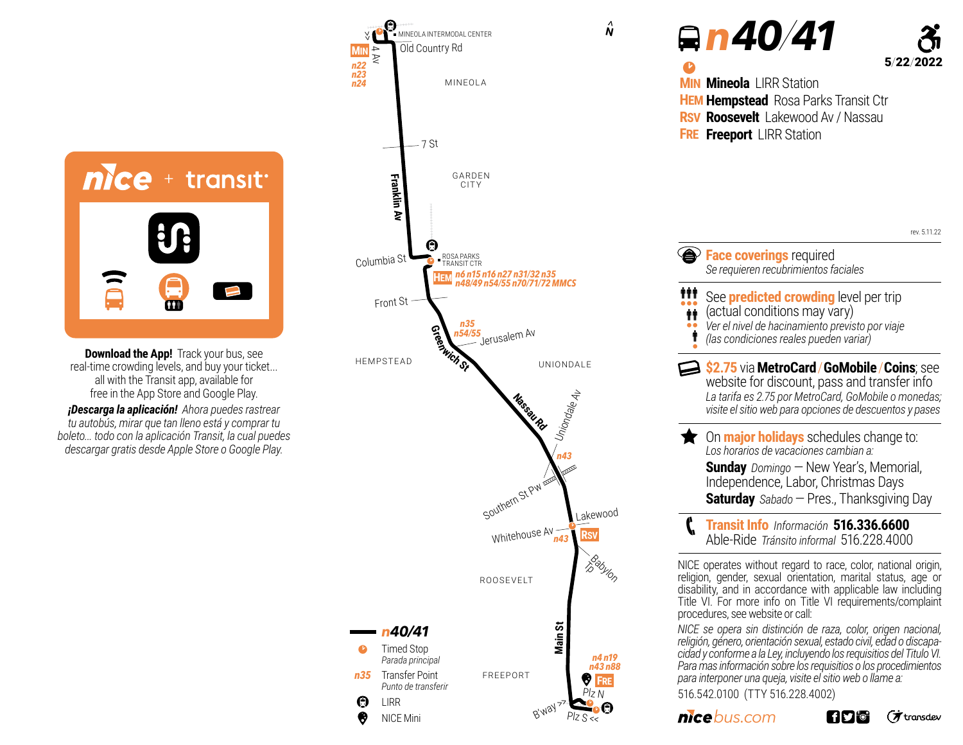

**Download the App!** Track your bus, see real-time crowding levels, and buy your ticket... all with the Transit app, available for free in the App Store and Google Play.

*¡Descarga la aplicación! Ahora puedes rastrear tu autobús, mirar que tan lleno está y comprar tu boleto... todo con la aplicación Transit, la cual puedes descargar gratis desde Apple Store o Google Play.*



<sup>b</sup> *n 40/41* 5/22/2022 NICE operates without regard to race, color, national origin, religion, gender, sexual orientation, marital status, age or disability, and in accordance with applicable law including Title VI. For more info on Title VI requirements/complaint procedures, see website or call: *NICE se opera sin distinción de raza, color, origen nacional, <u>A* Face coverings required</u> *Se requieren recubrimientos faciales* **tit** See **predicted crowding** level per trip<br>••• (actual conditions may vary) *Ver el nivel de hacinamiento previsto por viaje (las condiciones reales pueden variar)*  $\ddot{\mathbf{r}}$ •• İ • On **major holidays** schedules change to: *Los horarios de vacaciones cambian a:*  **Sunday** Domingo – New Year's, Memorial, Independence, Labor, Christmas Days **Saturday** *Sabado* —Pres., Thanksgiving Day **\$2.75** via**MetroCard**/**GoMobile**/**Coins**; see website for discount, pass and transfer info *La tarifa es 2.75 por MetroCard, GoMobile o monedas; visite el sitio web para opciones de descuentos y pases*  **Transit Info** *Información* **516.336.6600** Able-Ride *Tránsito informal* 516.228.4000 <sup>p</sup> **MIN Mineola** LIRR Station **HEM Hempstead** Rosa Parks Transit Ctr **RSV Roosevelt** Lakewood Av / Nassau **FRE Freeport** LIRR Station rev. 5.11.22

*religión, género, orientación sexual, estado civil, edad o discapacidad y conforme a la Ley, incluyendo los requisitios del Titulo VI. Para mas información sobre los requisitios o los procedimientos para interponer una queja, visite el sitio web o llame a:* 516.542.0100 (TTY 516.228.4002)

*bus.com*

**Hy o** (オtransdev